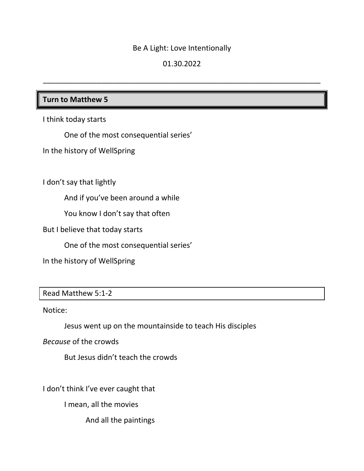### Be A Light: Love Intentionally

# 01.30.2022

\_\_\_\_\_\_\_\_\_\_\_\_\_\_\_\_\_\_\_\_\_\_\_\_\_\_\_\_\_\_\_\_\_\_\_\_\_\_\_\_\_\_\_\_\_\_\_\_\_\_\_\_\_\_\_\_\_\_\_\_\_\_\_\_\_\_\_

# **Turn to Matthew 5**

I think today starts

One of the most consequential series'

In the history of WellSpring

I don't say that lightly

And if you've been around a while

You know I don't say that often

But I believe that today starts

One of the most consequential series'

In the history of WellSpring

# Read Matthew 5:1-2

Notice:

Jesus went up on the mountainside to teach His disciples

*Because* of the crowds

But Jesus didn't teach the crowds

I don't think I've ever caught that

I mean, all the movies

And all the paintings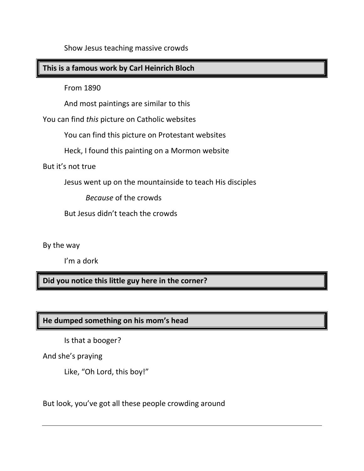Show Jesus teaching massive crowds

# **This is a famous work by Carl Heinrich Bloch**

From 1890

And most paintings are similar to this

You can find *this* picture on Catholic websites

You can find this picture on Protestant websites

Heck, I found this painting on a Mormon website

But it's not true

Jesus went up on the mountainside to teach His disciples

*Because* of the crowds

But Jesus didn't teach the crowds

By the way

I'm a dork

**Did you notice this little guy here in the corner?**

# **He dumped something on his mom's head**

Is that a booger?

And she's praying

Like, "Oh Lord, this boy!"

But look, you've got all these people crowding around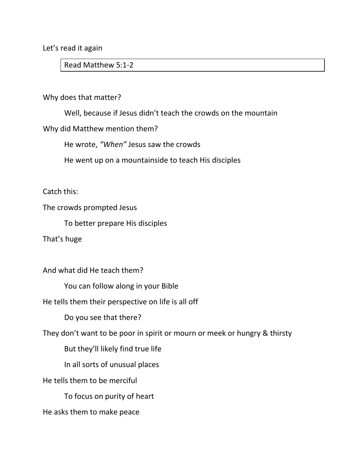Let's read it again

Read Matthew 5:1-2

#### Why does that matter?

Well, because if Jesus didn't teach the crowds on the mountain

### Why did Matthew mention them?

He wrote, *"When"* Jesus saw the crowds

He went up on a mountainside to teach His disciples

Catch this:

The crowds prompted Jesus

To better prepare His disciples

That's huge

And what did He teach them?

You can follow along in your Bible

He tells them their perspective on life is all off

Do you see that there?

They don't want to be poor in spirit or mourn or meek or hungry & thirsty

But they'll likely find true life

In all sorts of unusual places

He tells them to be merciful

To focus on purity of heart

He asks them to make peace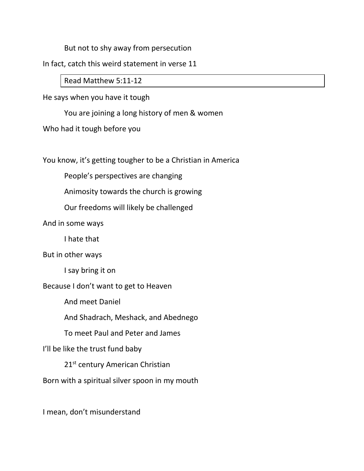But not to shy away from persecution

In fact, catch this weird statement in verse 11

Read Matthew 5:11-12

He says when you have it tough

You are joining a long history of men & women

Who had it tough before you

You know, it's getting tougher to be a Christian in America

People's perspectives are changing

Animosity towards the church is growing

Our freedoms will likely be challenged

And in some ways

I hate that

But in other ways

I say bring it on

Because I don't want to get to Heaven

And meet Daniel

And Shadrach, Meshack, and Abednego

To meet Paul and Peter and James

I'll be like the trust fund baby

21<sup>st</sup> century American Christian

Born with a spiritual silver spoon in my mouth

I mean, don't misunderstand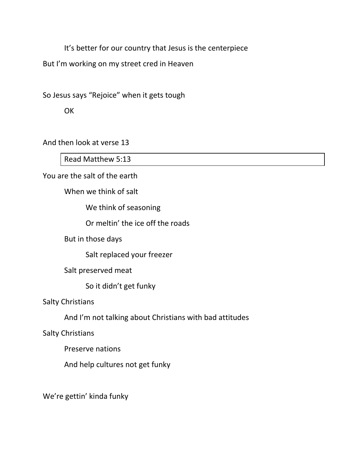It's better for our country that Jesus is the centerpiece

But I'm working on my street cred in Heaven

So Jesus says "Rejoice" when it gets tough

**OK** 

And then look at verse 13

Read Matthew 5:13

You are the salt of the earth

When we think of salt

We think of seasoning

Or meltin' the ice off the roads

But in those days

Salt replaced your freezer

Salt preserved meat

So it didn't get funky

Salty Christians

And I'm not talking about Christians with bad attitudes

Salty Christians

Preserve nations

And help cultures not get funky

We're gettin' kinda funky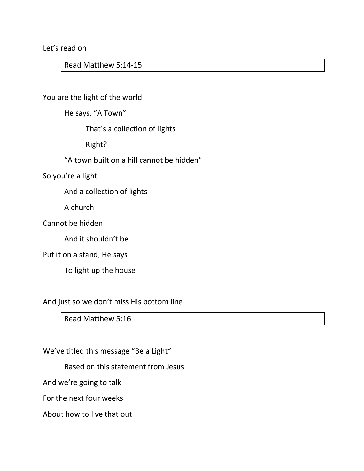Let's read on

Read Matthew 5:14-15

You are the light of the world

He says, "A Town"

That's a collection of lights

Right?

"A town built on a hill cannot be hidden"

So you're a light

And a collection of lights

A church

Cannot be hidden

And it shouldn't be

#### Put it on a stand, He says

To light up the house

And just so we don't miss His bottom line

Read Matthew 5:16

We've titled this message "Be a Light"

Based on this statement from Jesus

And we're going to talk

For the next four weeks

About how to live that out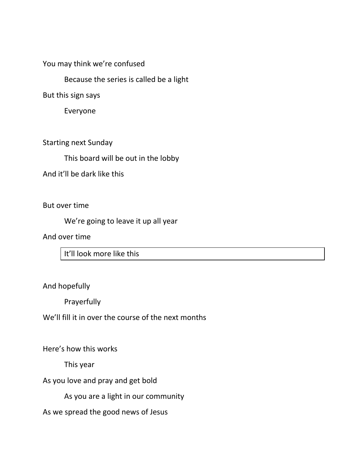You may think we're confused

Because the series is called be a light

But this sign says

Everyone

Starting next Sunday

This board will be out in the lobby

And it'll be dark like this

But over time

We're going to leave it up all year

And over time

It'll look more like this

And hopefully

Prayerfully

We'll fill it in over the course of the next months

Here's how this works

This year

As you love and pray and get bold

As you are a light in our community

As we spread the good news of Jesus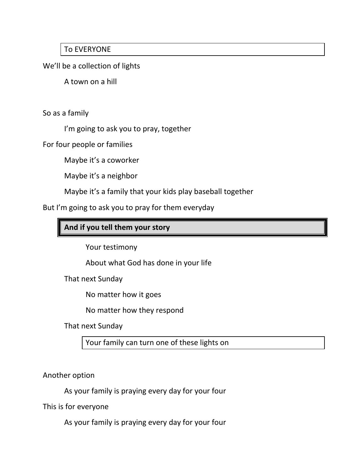# To EVERYONE

We'll be a collection of lights

A town on a hill

So as a family

I'm going to ask you to pray, together

For four people or families

Maybe it's a coworker

Maybe it's a neighbor

Maybe it's a family that your kids play baseball together

But I'm going to ask you to pray for them everyday

# **And if you tell them your story**

Your testimony

About what God has done in your life

That next Sunday

No matter how it goes

No matter how they respond

That next Sunday

Your family can turn one of these lights on

Another option

As your family is praying every day for your four

This is for everyone

As your family is praying every day for your four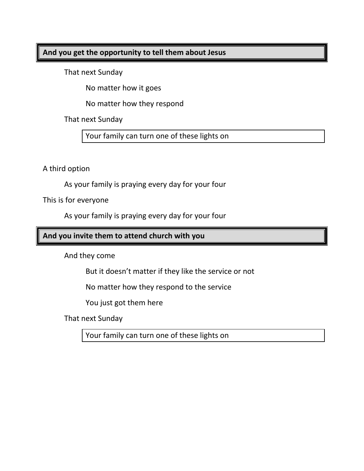### **And you get the opportunity to tell them about Jesus**

That next Sunday

No matter how it goes

No matter how they respond

That next Sunday

Your family can turn one of these lights on

A third option

As your family is praying every day for your four

This is for everyone

As your family is praying every day for your four

# **And you invite them to attend church with you**

And they come

But it doesn't matter if they like the service or not

No matter how they respond to the service

You just got them here

That next Sunday

Your family can turn one of these lights on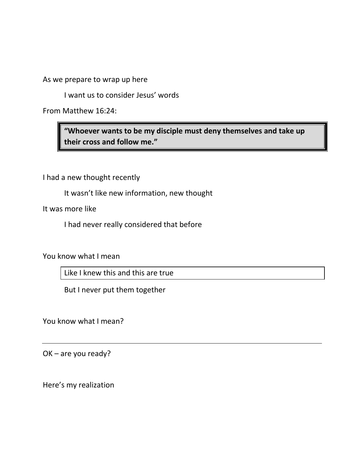As we prepare to wrap up here

I want us to consider Jesus' words

From Matthew 16:24:

**"Whoever wants to be my disciple must deny themselves and take up their cross and follow me."**

I had a new thought recently

It wasn't like new information, new thought

It was more like

I had never really considered that before

You know what I mean

Like I knew this and this are true

But I never put them together

You know what I mean?

OK – are you ready?

Here's my realization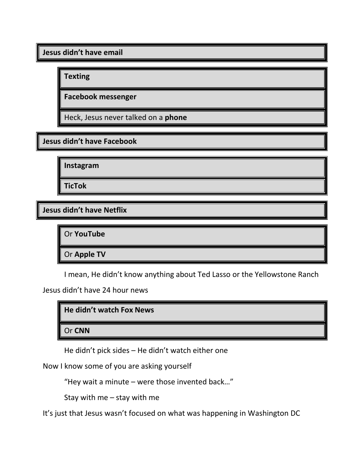**Jesus didn't have email**

**Texting**

**Facebook messenger**

Heck, Jesus never talked on a **phone**

**Jesus didn't have Facebook**

**Instagram**

**TicTok**

**Jesus didn't have Netflix**

Or **YouTube**

Or **Apple TV**

I mean, He didn't know anything about Ted Lasso or the Yellowstone Ranch

Jesus didn't have 24 hour news

**He didn't watch Fox News** 

Or **CNN**

He didn't pick sides – He didn't watch either one

Now I know some of you are asking yourself

"Hey wait a minute – were those invented back…"

Stay with me – stay with me

It's just that Jesus wasn't focused on what was happening in Washington DC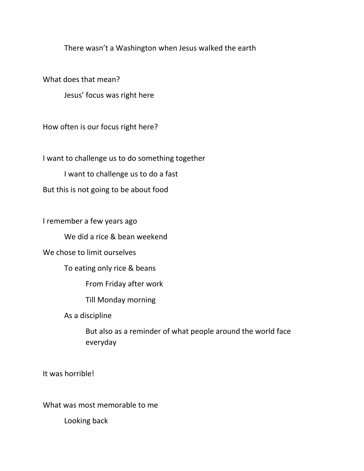There wasn't a Washington when Jesus walked the earth

What does that mean?

Jesus' focus was right here

How often is our focus right here?

I want to challenge us to do something together

I want to challenge us to do a fast

But this is not going to be about food

I remember a few years ago

We did a rice & bean weekend

We chose to limit ourselves

To eating only rice & beans

From Friday after work

Till Monday morning

As a discipline

But also as a reminder of what people around the world face everyday

It was horrible!

What was most memorable to me

Looking back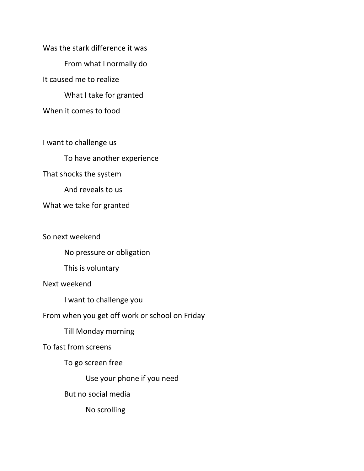Was the stark difference it was From what I normally do It caused me to realize What I take for granted When it comes to food

I want to challenge us To have another experience That shocks the system And reveals to us What we take for granted

So next weekend

No pressure or obligation

This is voluntary

Next weekend

I want to challenge you

From when you get off work or school on Friday

Till Monday morning

To fast from screens

To go screen free

Use your phone if you need

But no social media

No scrolling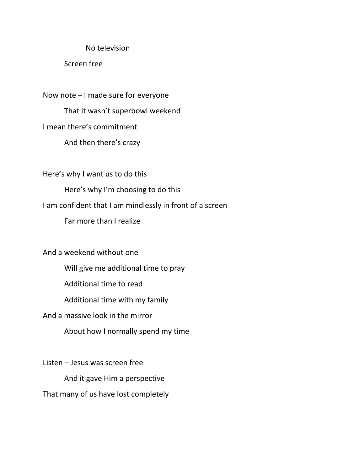#### No television

Screen free

Now note – I made sure for everyone That it wasn't superbowl weekend I mean there's commitment And then there's crazy

Here's why I want us to do this

Here's why I'm choosing to do this

I am confident that I am mindlessly in front of a screen

Far more than I realize

And a weekend without one

Will give me additional time to pray

Additional time to read

Additional time with my family

And a massive look in the mirror

About how I normally spend my time

Listen – Jesus was screen free And it gave Him a perspective That many of us have lost completely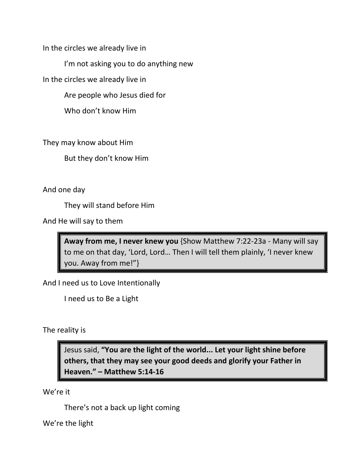In the circles we already live in

I'm not asking you to do anything new

In the circles we already live in

Are people who Jesus died for

Who don't know Him

They may know about Him

But they don't know Him

And one day

They will stand before Him

And He will say to them

**Away from me, I never knew you** {Show Matthew 7:22-23a - Many will say to me on that day, 'Lord, Lord… Then I will tell them plainly, 'I never knew you. Away from me!"}

And I need us to Love Intentionally

I need us to Be a Light

The reality is

Jesus said, **"You are the light of the world... Let your light shine before others, that they may see your good deeds and glorify your Father in Heaven." – Matthew 5:14-16**

We're it

There's not a back up light coming

We're the light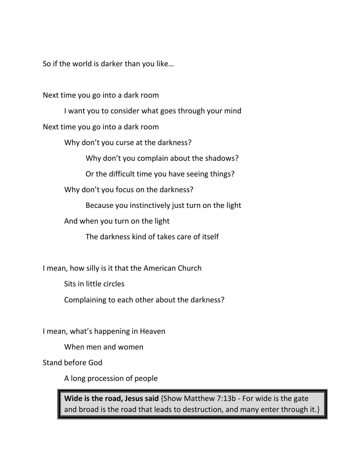So if the world is darker than you like…

Next time you go into a dark room

I want you to consider what goes through your mind Next time you go into a dark room

Why don't you curse at the darkness?

Why don't you complain about the shadows?

Or the difficult time you have seeing things?

Why don't you focus on the darkness?

Because you instinctively just turn on the light

And when you turn on the light

The darkness kind of takes care of itself

I mean, how silly is it that the American Church

Sits in little circles

Complaining to each other about the darkness?

I mean, what's happening in Heaven

When men and women

Stand before God

A long procession of people

**Wide is the road, Jesus said** {Show Matthew 7:13b - For wide is the gate and broad is the road that leads to destruction, and many enter through it.}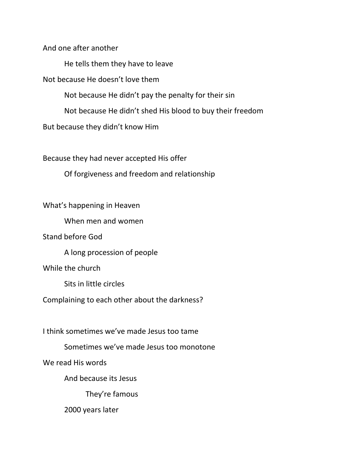And one after another

He tells them they have to leave

Not because He doesn't love them

Not because He didn't pay the penalty for their sin

Not because He didn't shed His blood to buy their freedom

But because they didn't know Him

Because they had never accepted His offer

Of forgiveness and freedom and relationship

### What's happening in Heaven

When men and women

Stand before God

A long procession of people

While the church

Sits in little circles

Complaining to each other about the darkness?

I think sometimes we've made Jesus too tame

Sometimes we've made Jesus too monotone

We read His words

And because its Jesus

They're famous

2000 years later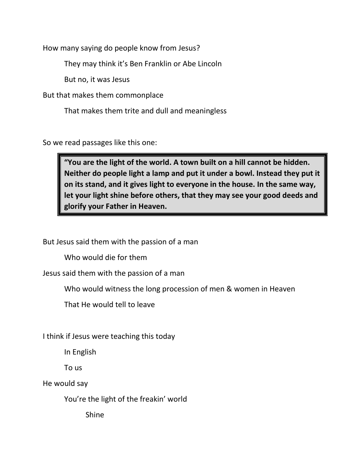How many saying do people know from Jesus?

They may think it's Ben Franklin or Abe Lincoln

But no, it was Jesus

But that makes them commonplace

That makes them trite and dull and meaningless

So we read passages like this one:

**"You are the light of the world. A town built on a hill cannot be hidden. Neither do people light a lamp and put it under a bowl. Instead they put it on its stand, and it gives light to everyone in the house. In the same way, let your light shine before others, that they may see your good deeds and glorify your Father in Heaven.**

But Jesus said them with the passion of a man

Who would die for them

Jesus said them with the passion of a man

Who would witness the long procession of men & women in Heaven

That He would tell to leave

I think if Jesus were teaching this today

In English

To us

He would say

You're the light of the freakin' world

Shine